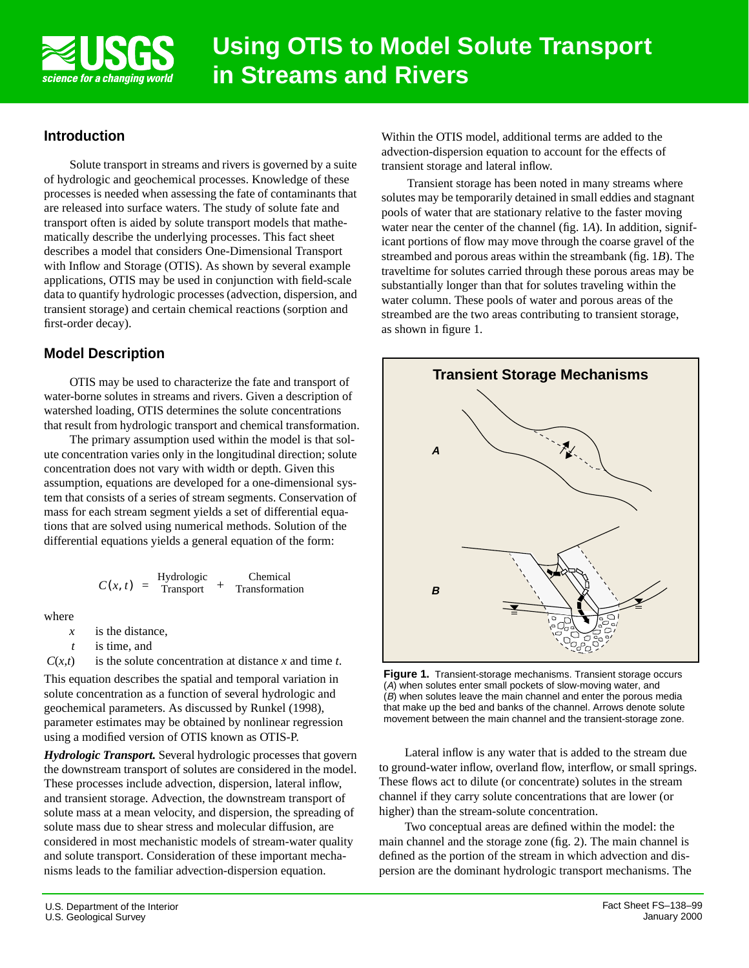

## **Introduction**

Solute transport in streams and rivers is governed by a suite of hydrologic and geochemical processes. Knowledge of these processes is needed when assessing the fate of contaminants that are released into surface waters. The study of solute fate and transport often is aided by solute transport models that mathematically describe the underlying processes. This fact sheet describes a model that considers One-Dimensional Transport with Inflow and Storage (OTIS). As shown by several example applications, OTIS may be used in conjunction with field-scale data to quantify hydrologic processes (advection, dispersion, and transient storage) and certain chemical reactions (sorption and first-order decay).

# **Model Description**

OTIS may be used to characterize the fate and transport of water-borne solutes in streams and rivers. Given a description of watershed loading, OTIS determines the solute concentrations that result from hydrologic transport and chemical transformation.

The primary assumption used within the model is that solute concentration varies only in the longitudinal direction; solute concentration does not vary with width or depth. Given this assumption, equations are developed for a one-dimensional system that consists of a series of stream segments. Conservation of mass for each stream segment yields a set of differential equations that are solved using numerical methods. Solution of the differential equations yields a general equation of the form:

$$
C(x, t) = \frac{\text{Hydrologic}}{\text{Transport}} + \frac{\text{Chemical}}{\text{Transformation}}
$$

where

- *x* is the distance,
- *t* is time, and
- $C(x,t)$  is the solute concentration at distance *x* and time *t*.

This equation describes the spatial and temporal variation in solute concentration as a function of several hydrologic and geochemical parameters. As discussed by Runkel (1998), parameter estimates may be obtained by nonlinear regression using a modified version of OTIS known as OTIS-P.

*Hydrologic Transport.* Several hydrologic processes that govern the downstream transport of solutes are considered in the model. These processes include advection, dispersion, lateral inflow, and transient storage. Advection, the downstream transport of solute mass at a mean velocity, and dispersion, the spreading of solute mass due to shear stress and molecular diffusion, are considered in most mechanistic models of stream-water quality and solute transport. Consideration of these important mechanisms leads to the familiar advection-dispersion equation.

Within the OTIS model, additional terms are added to the advection-dispersion equation to account for the effects of transient storage and lateral inflow.

Transient storage has been noted in many streams where solutes may be temporarily detained in small eddies and stagnant pools of water that are stationary relative to the faster moving water near the center of the channel (fig. 1*A*). In addition, significant portions of flow may move through the coarse gravel of the streambed and porous areas within the streambank (fig. 1*B*). The traveltime for solutes carried through these porous areas may be substantially longer than that for solutes traveling within the water column. These pools of water and porous areas of the streambed are the two areas contributing to transient storage, as shown in figure 1.



**Figure 1.** Transient-storage mechanisms. Transient storage occurs (A) when solutes enter small pockets of slow-moving water, and (B) when solutes leave the main channel and enter the porous media that make up the bed and banks of the channel. Arrows denote solute movement between the main channel and the transient-storage zone.

Lateral inflow is any water that is added to the stream due to ground-water inflow, overland flow, interflow, or small springs. These flows act to dilute (or concentrate) solutes in the stream channel if they carry solute concentrations that are lower (or higher) than the stream-solute concentration.

Two conceptual areas are defined within the model: the main channel and the storage zone (fig. 2). The main channel is defined as the portion of the stream in which advection and dispersion are the dominant hydrologic transport mechanisms. The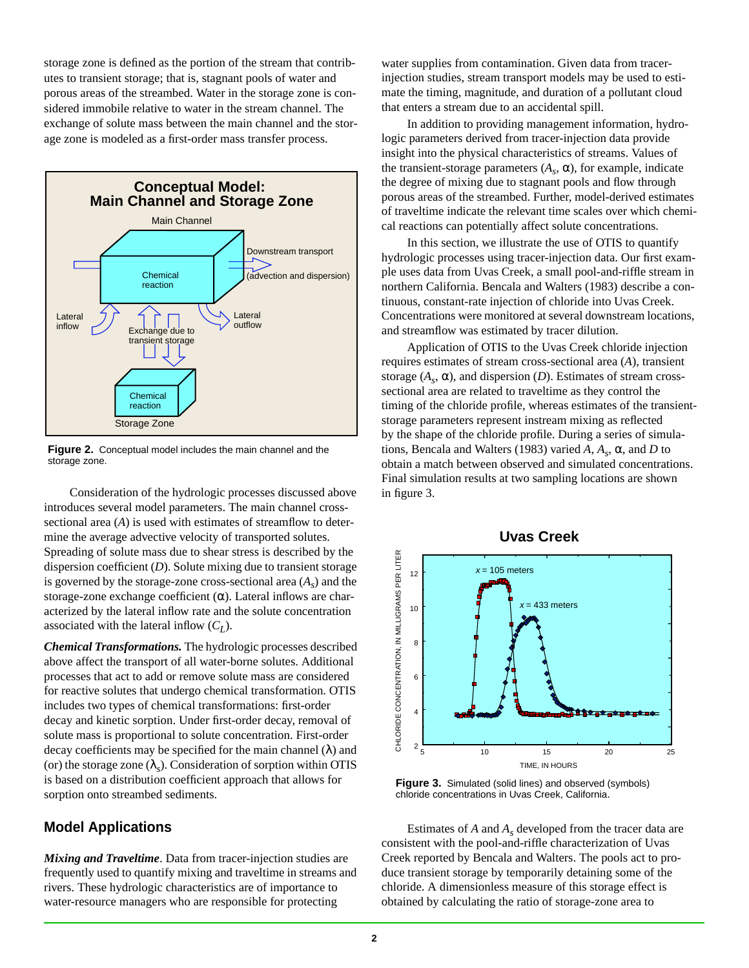storage zone is defined as the portion of the stream that contributes to transient storage; that is, stagnant pools of water and porous areas of the streambed. Water in the storage zone is considered immobile relative to water in the stream channel. The exchange of solute mass between the main channel and the storage zone is modeled as a first-order mass transfer process.



**Figure 2.** Conceptual model includes the main channel and the storage zone.

Consideration of the hydrologic processes discussed above introduces several model parameters. The main channel crosssectional area (*A*) is used with estimates of streamflow to determine the average advective velocity of transported solutes. Spreading of solute mass due to shear stress is described by the dispersion coefficient (*D*). Solute mixing due to transient storage is governed by the storage-zone cross-sectional area  $(A<sub>s</sub>)$  and the storage-zone exchange coefficient  $(\alpha)$ . Lateral inflows are characterized by the lateral inflow rate and the solute concentration associated with the lateral inflow  $(C_I)$ .

*Chemical Transformations.* The hydrologic processes described above affect the transport of all water-borne solutes. Additional processes that act to add or remove solute mass are considered for reactive solutes that undergo chemical transformation. OTIS includes two types of chemical transformations: first-order decay and kinetic sorption. Under first-order decay, removal of solute mass is proportional to solute concentration. First-order decay coefficients may be specified for the main channel  $(\lambda)$  and (or) the storage zone  $(\lambda_{\rm s})$ . Consideration of sorption within OTIS is based on a distribution coefficient approach that allows for sorption onto streambed sediments.

#### **Model Applications**

*Mixing and Traveltime*. Data from tracer-injection studies are frequently used to quantify mixing and traveltime in streams and rivers. These hydrologic characteristics are of importance to water-resource managers who are responsible for protecting

water supplies from contamination. Given data from tracerinjection studies, stream transport models may be used to estimate the timing, magnitude, and duration of a pollutant cloud that enters a stream due to an accidental spill.

In addition to providing management information, hydrologic parameters derived from tracer-injection data provide insight into the physical characteristics of streams. Values of the transient-storage parameters  $(A_s, \alpha)$ , for example, indicate the degree of mixing due to stagnant pools and flow through porous areas of the streambed. Further, model-derived estimates of traveltime indicate the relevant time scales over which chemical reactions can potentially affect solute concentrations.

In this section, we illustrate the use of OTIS to quantify hydrologic processes using tracer-injection data. Our first example uses data from Uvas Creek, a small pool-and-riffle stream in northern California. Bencala and Walters (1983) describe a continuous, constant-rate injection of chloride into Uvas Creek. Concentrations were monitored at several downstream locations, and streamflow was estimated by tracer dilution.

Application of OTIS to the Uvas Creek chloride injection requires estimates of stream cross-sectional area (*A*), transient storage  $(A_s, \alpha)$ , and dispersion  $(D)$ . Estimates of stream crosssectional area are related to traveltime as they control the timing of the chloride profile, whereas estimates of the transientstorage parameters represent instream mixing as reflected by the shape of the chloride profile. During a series of simulations, Bencala and Walters (1983) varied *A*, *As*, α, and *D* to obtain a match between observed and simulated concentrations. Final simulation results at two sampling locations are shown in figure 3.





**Figure 3.** Simulated (solid lines) and observed (symbols) chloride concentrations in Uvas Creek, California.

Estimates of *A* and *As* developed from the tracer data are consistent with the pool-and-riffle characterization of Uvas Creek reported by Bencala and Walters. The pools act to produce transient storage by temporarily detaining some of the chloride. A dimensionless measure of this storage effect is obtained by calculating the ratio of storage-zone area to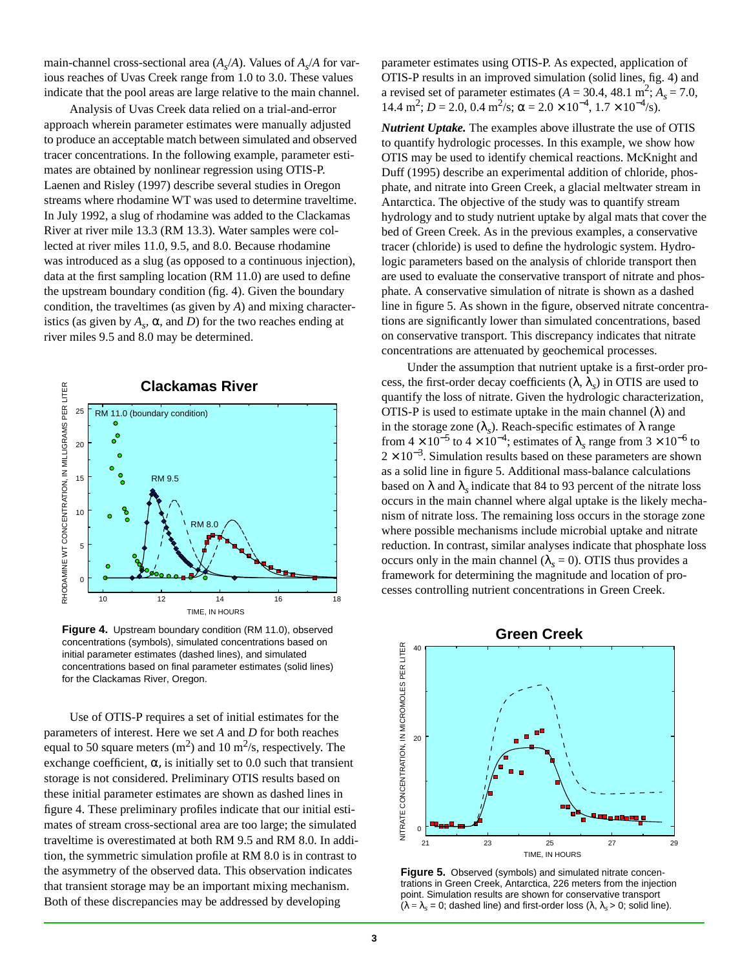main-channel cross-sectional area  $(A_s/A)$ . Values of  $A_s/A$  for various reaches of Uvas Creek range from 1.0 to 3.0. These values indicate that the pool areas are large relative to the main channel.

Analysis of Uvas Creek data relied on a trial-and-error approach wherein parameter estimates were manually adjusted to produce an acceptable match between simulated and observed tracer concentrations. In the following example, parameter estimates are obtained by nonlinear regression using OTIS-P. Laenen and Risley (1997) describe several studies in Oregon streams where rhodamine WT was used to determine traveltime. In July 1992, a slug of rhodamine was added to the Clackamas River at river mile 13.3 (RM 13.3). Water samples were collected at river miles 11.0, 9.5, and 8.0. Because rhodamine was introduced as a slug (as opposed to a continuous injection), data at the first sampling location (RM 11.0) are used to define the upstream boundary condition (fig. 4). Given the boundary condition, the traveltimes (as given by *A*) and mixing characteristics (as given by  $A_s$ ,  $\alpha$ , and *D*) for the two reaches ending at river miles 9.5 and 8.0 may be determined.



concentrations (symbols), simulated concentrations based on initial parameter estimates (dashed lines), and simulated concentrations based on final parameter estimates (solid lines) for the Clackamas River, Oregon.

Use of OTIS-P requires a set of initial estimates for the parameters of interest. Here we set *A* and *D* for both reaches equal to 50 square meters  $(m^2)$  and 10 m<sup>2</sup>/s, respectively. The exchange coefficient,  $\alpha$ , is initially set to 0.0 such that transient storage is not considered. Preliminary OTIS results based on these initial parameter estimates are shown as dashed lines in figure 4. These preliminary profiles indicate that our initial estimates of stream cross-sectional area are too large; the simulated traveltime is overestimated at both RM 9.5 and RM 8.0. In addition, the symmetric simulation profile at RM 8.0 is in contrast to the asymmetry of the observed data. This observation indicates that transient storage may be an important mixing mechanism. Both of these discrepancies may be addressed by developing

parameter estimates using OTIS-P. As expected, application of OTIS-P results in an improved simulation (solid lines, fig. 4) and a revised set of parameter estimates ( $A = 30.4$ , 48.1 m<sup>2</sup>;  $A_s = 7.0$ , 14.4 m<sup>2</sup>; *D* = 2.0, 0.4 m<sup>2</sup>/s;  $\alpha$  = 2.0 × 10<sup>-4</sup>, 1.7 × 10<sup>-4</sup>/s).

*Nutrient Uptake.* The examples above illustrate the use of OTIS to quantify hydrologic processes. In this example, we show how OTIS may be used to identify chemical reactions. McKnight and Duff (1995) describe an experimental addition of chloride, phosphate, and nitrate into Green Creek, a glacial meltwater stream in Antarctica. The objective of the study was to quantify stream hydrology and to study nutrient uptake by algal mats that cover the bed of Green Creek. As in the previous examples, a conservative tracer (chloride) is used to define the hydrologic system. Hydrologic parameters based on the analysis of chloride transport then are used to evaluate the conservative transport of nitrate and phosphate. A conservative simulation of nitrate is shown as a dashed line in figure 5. As shown in the figure, observed nitrate concentrations are significantly lower than simulated concentrations, based on conservative transport. This discrepancy indicates that nitrate concentrations are attenuated by geochemical processes.

Under the assumption that nutrient uptake is a first-order process, the first-order decay coefficients  $(\lambda, \lambda_s)$  in OTIS are used to quantify the loss of nitrate. Given the hydrologic characterization, OTIS-P is used to estimate uptake in the main channel  $(\lambda)$  and in the storage zone  $(\lambda_s)$ . Reach-specific estimates of  $\lambda$  range from  $4 \times 10^{-5}$  to  $4 \times 10^{-4}$ ; estimates of  $\lambda_s$  range from  $3 \times 10^{-6}$  to  $2 \times 10^{-3}$ . Simulation results based on these parameters are shown as a solid line in figure 5. Additional mass-balance calculations based on  $\lambda$  and  $\lambda$ <sub>s</sub> indicate that 84 to 93 percent of the nitrate loss occurs in the main channel where algal uptake is the likely mechanism of nitrate loss. The remaining loss occurs in the storage zone where possible mechanisms include microbial uptake and nitrate reduction. In contrast, similar analyses indicate that phosphate loss occurs only in the main channel ( $\lambda_s = 0$ ). OTIS thus provides a framework for determining the magnitude and location of processes controlling nutrient concentrations in Green Creek.



**Figure 5.** Observed (symbols) and simulated nitrate concentrations in Green Creek, Antarctica, 226 meters from the injection point. Simulation results are shown for conservative transport  $(\lambda = \lambda_s = 0;$  dashed line) and first-order loss  $(\lambda, \lambda_s > 0;$  solid line).